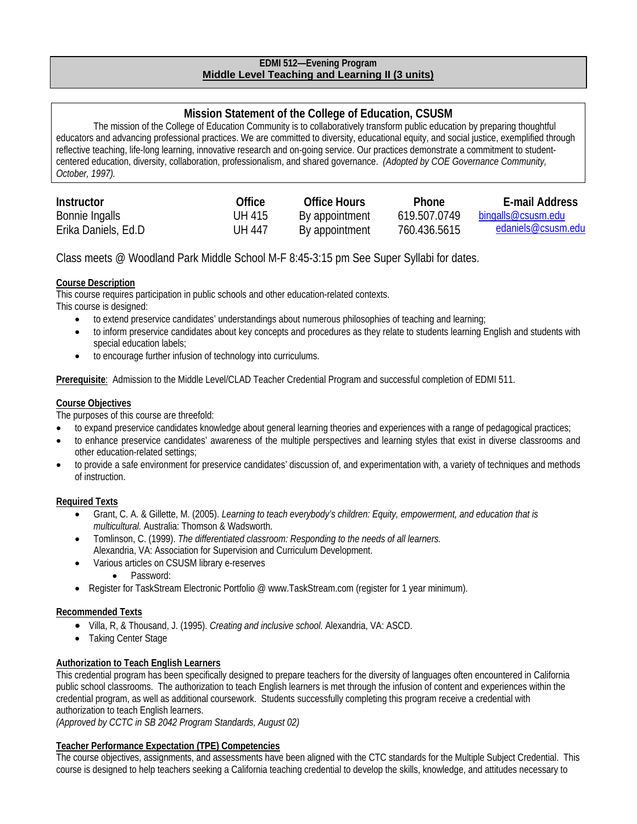## **EDMI 512—Evening Program Middle Level Teaching and Learning II (3 units)**

# **Mission Statement of the College of Education, CSUSM**

The mission of the College of Education Community is to collaboratively transform public education by preparing thoughtful educators and advancing professional practices. We are committed to diversity, educational equity, and social justice, exemplified through reflective teaching, life-long learning, innovative research and on-going service. Our practices demonstrate a commitment to studentcentered education, diversity, collaboration, professionalism, and shared governance. *(Adopted by COE Governance Community, October, 1997).*

| Instructor          | Office | Office Hours   | <b>Phone</b> | E-mail Address     |
|---------------------|--------|----------------|--------------|--------------------|
| Bonnie Ingalls      | UH 415 | By appointment | 619.507.0749 | bingalls@csusm.edu |
| Erika Daniels, Ed.D | UH 447 | By appointment | 760.436.5615 | edaniels@csusm.edu |

Class meets @ Woodland Park Middle School M-F 8:45-3:15 pm See Super Syllabi for dates.

# **Course Description**

This course requires participation in public schools and other education-related contexts. This course is designed:

- to extend preservice candidates' understandings about numerous philosophies of teaching and learning;
- to inform preservice candidates about key concepts and procedures as they relate to students learning English and students with special education labels;
- to encourage further infusion of technology into curriculums.

**Prerequisite**: Admission to the Middle Level/CLAD Teacher Credential Program and successful completion of EDMI 511.

# **Course Objectives**

The purposes of this course are threefold:

- to expand preservice candidates knowledge about general learning theories and experiences with a range of pedagogical practices;
- to enhance preservice candidates' awareness of the multiple perspectives and learning styles that exist in diverse classrooms and other education-related settings;
- to provide a safe environment for preservice candidates' discussion of, and experimentation with, a variety of techniques and methods of instruction.

# **Required Texts**

- Grant, C. A. & Gillette, M. (2005). *Learning to teach everybody's children: Equity, empowerment, and education that is multicultural.* Australia: Thomson & Wadsworth.
- Tomlinson, C. (1999). *The differentiated classroom: Responding to the needs of all learners.*  Alexandria, VA: Association for Supervision and Curriculum Development.
- Various articles on CSUSM library e-reserves
	- Password:
- Register for TaskStream Electronic Portfolio @ www.TaskStream.com (register for 1 year minimum).

# **Recommended Texts**

- Villa, R, & Thousand, J. (1995). *Creating and inclusive school.* Alexandria, VA: ASCD.
- Taking Center Stage

# **Authorization to Teach English Learners**

This credential program has been specifically designed to prepare teachers for the diversity of languages often encountered in California public school classrooms. The authorization to teach English learners is met through the infusion of content and experiences within the credential program, as well as additional coursework. Students successfully completing this program receive a credential with authorization to teach English learners.

*(Approved by CCTC in SB 2042 Program Standards, August 02)*

# **Teacher Performance Expectation (TPE) Competencies**

The course objectives, assignments, and assessments have been aligned with the CTC standards for the Multiple Subject Credential. This course is designed to help teachers seeking a California teaching credential to develop the skills, knowledge, and attitudes necessary to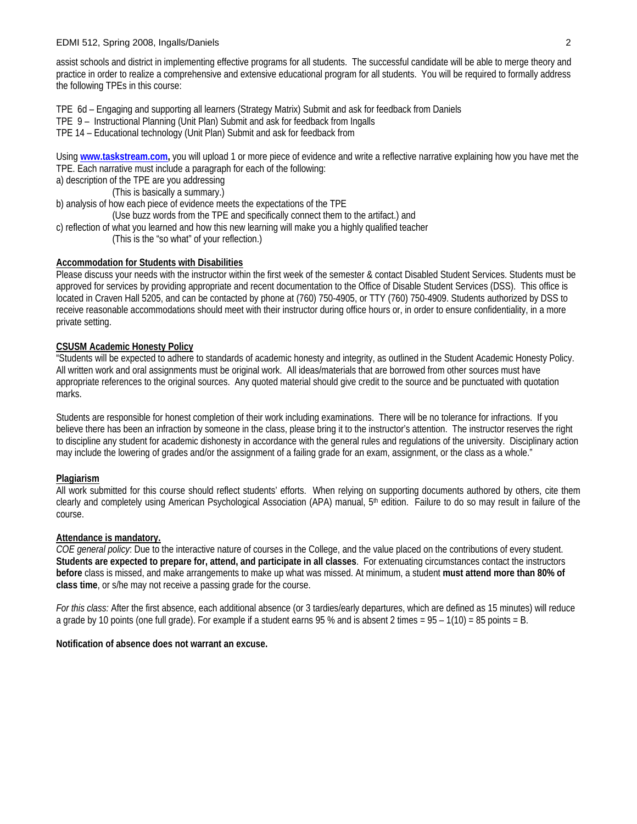#### EDMI 512, Spring 2008, Ingalls/Daniels 2

assist schools and district in implementing effective programs for all students. The successful candidate will be able to merge theory and practice in order to realize a comprehensive and extensive educational program for all students. You will be required to formally address the following TPEs in this course:

TPE 6d – Engaging and supporting all learners (Strategy Matrix) Submit and ask for feedback from Daniels

- TPE 9 Instructional Planning (Unit Plan) Submit and ask for feedback from Ingalls
- TPE 14 Educational technology (Unit Plan) Submit and ask for feedback from

Using **www.taskstream.com,** you will upload 1 or more piece of evidence and write a reflective narrative explaining how you have met the TPE. Each narrative must include a paragraph for each of the following:

a) description of the TPE are you addressing

(This is basically a summary.)

b) analysis of how each piece of evidence meets the expectations of the TPE

- (Use buzz words from the TPE and specifically connect them to the artifact.) and
- c) reflection of what you learned and how this new learning will make you a highly qualified teacher

(This is the "so what" of your reflection.)

#### **Accommodation for Students with Disabilities**

Please discuss your needs with the instructor within the first week of the semester & contact Disabled Student Services. Students must be approved for services by providing appropriate and recent documentation to the Office of Disable Student Services (DSS). This office is located in Craven Hall 5205, and can be contacted by phone at (760) 750-4905, or TTY (760) 750-4909. Students authorized by DSS to receive reasonable accommodations should meet with their instructor during office hours or, in order to ensure confidentiality, in a more private setting.

### **CSUSM Academic Honesty Policy**

"Students will be expected to adhere to standards of academic honesty and integrity, as outlined in the Student Academic Honesty Policy. All written work and oral assignments must be original work. All ideas/materials that are borrowed from other sources must have appropriate references to the original sources. Any quoted material should give credit to the source and be punctuated with quotation marks.

Students are responsible for honest completion of their work including examinations. There will be no tolerance for infractions. If you believe there has been an infraction by someone in the class, please bring it to the instructor's attention. The instructor reserves the right to discipline any student for academic dishonesty in accordance with the general rules and regulations of the university. Disciplinary action may include the lowering of grades and/or the assignment of a failing grade for an exam, assignment, or the class as a whole."

### **Plagiarism**

All work submitted for this course should reflect students' efforts. When relying on supporting documents authored by others, cite them clearly and completely using American Psychological Association (APA) manual, 5th edition. Failure to do so may result in failure of the course.

### **Attendance is mandatory.**

*COE general policy*: Due to the interactive nature of courses in the College, and the value placed on the contributions of every student. **Students are expected to prepare for, attend, and participate in all classes**. For extenuating circumstances contact the instructors **before** class is missed, and make arrangements to make up what was missed. At minimum, a student **must attend more than 80% of class time**, or s/he may not receive a passing grade for the course.

*For this class:* After the first absence, each additional absence (or 3 tardies/early departures, which are defined as 15 minutes) will reduce a grade by 10 points (one full grade). For example if a student earns 95 % and is absent 2 times = 95 – 1(10) = 85 points = B.

### **Notification of absence does not warrant an excuse.**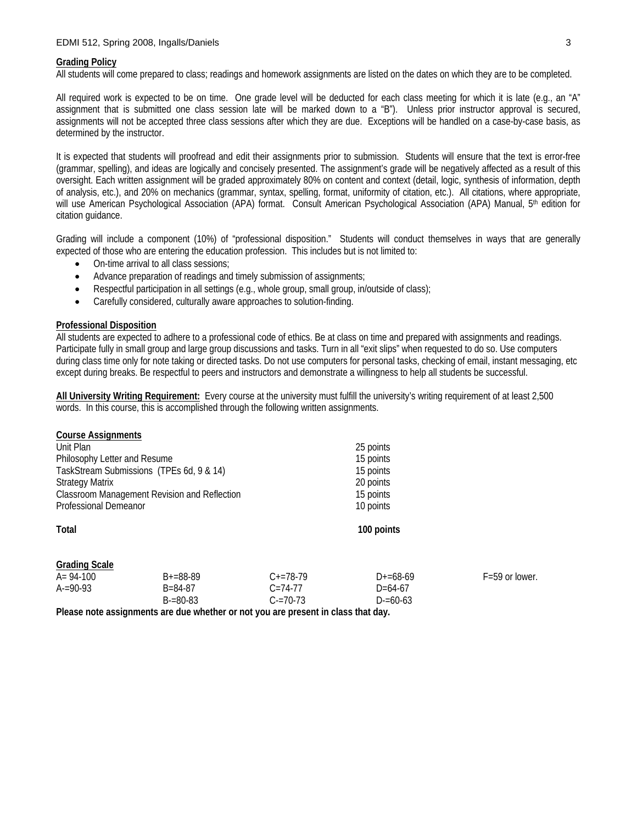#### **Grading Policy**

All students will come prepared to class; readings and homework assignments are listed on the dates on which they are to be completed.

All required work is expected to be on time. One grade level will be deducted for each class meeting for which it is late (e.g., an "A" assignment that is submitted one class session late will be marked down to a "B"). Unless prior instructor approval is secured, assignments will not be accepted three class sessions after which they are due. Exceptions will be handled on a case-by-case basis, as determined by the instructor.

It is expected that students will proofread and edit their assignments prior to submission. Students will ensure that the text is error-free (grammar, spelling), and ideas are logically and concisely presented. The assignment's grade will be negatively affected as a result of this oversight. Each written assignment will be graded approximately 80% on content and context (detail, logic, synthesis of information, depth of analysis, etc.), and 20% on mechanics (grammar, syntax, spelling, format, uniformity of citation, etc.). All citations, where appropriate, will use American Psychological Association (APA) format. Consult American Psychological Association (APA) Manual, 5<sup>th</sup> edition for citation guidance.

Grading will include a component (10%) of "professional disposition." Students will conduct themselves in ways that are generally expected of those who are entering the education profession. This includes but is not limited to:

- On-time arrival to all class sessions;
- Advance preparation of readings and timely submission of assignments;
- Respectful participation in all settings (e.g., whole group, small group, in/outside of class);
- Carefully considered, culturally aware approaches to solution-finding.

#### **Professional Disposition**

All students are expected to adhere to a professional code of ethics. Be at class on time and prepared with assignments and readings. Participate fully in small group and large group discussions and tasks. Turn in all "exit slips" when requested to do so. Use computers during class time only for note taking or directed tasks. Do not use computers for personal tasks, checking of email, instant messaging, etc except during breaks. Be respectful to peers and instructors and demonstrate a willingness to help all students be successful.

**All University Writing Requirement:** Every course at the university must fulfill the university's writing requirement of at least 2,500 words. In this course, this is accomplished through the following written assignments.

| <b>Course Assignments</b>                    |               |               |               |                    |  |
|----------------------------------------------|---------------|---------------|---------------|--------------------|--|
| Unit Plan                                    |               |               | 25 points     |                    |  |
| Philosophy Letter and Resume                 |               |               | 15 points     |                    |  |
| TaskStream Submissions (TPEs 6d, 9 & 14)     |               |               | 15 points     |                    |  |
| <b>Strategy Matrix</b>                       |               |               | 20 points     |                    |  |
| Classroom Management Revision and Reflection |               |               | 15 points     |                    |  |
| Professional Demeanor                        |               |               | 10 points     |                    |  |
| Total                                        |               |               | 100 points    |                    |  |
| <b>Grading Scale</b>                         |               |               |               |                    |  |
| A= 94-100                                    | $B+=88-89$    | $C+=78-79$    | $D+ = 68-69$  | $F = 59$ or lower. |  |
| $A = 90-93$                                  | $B = 84 - 87$ | $C = 74 - 77$ | $D = 64-67$   |                    |  |
|                                              | $B = 80 - 83$ | $C = 70 - 73$ | $D = 60 - 63$ |                    |  |

**Please note assignments are due whether or not you are present in class that day.**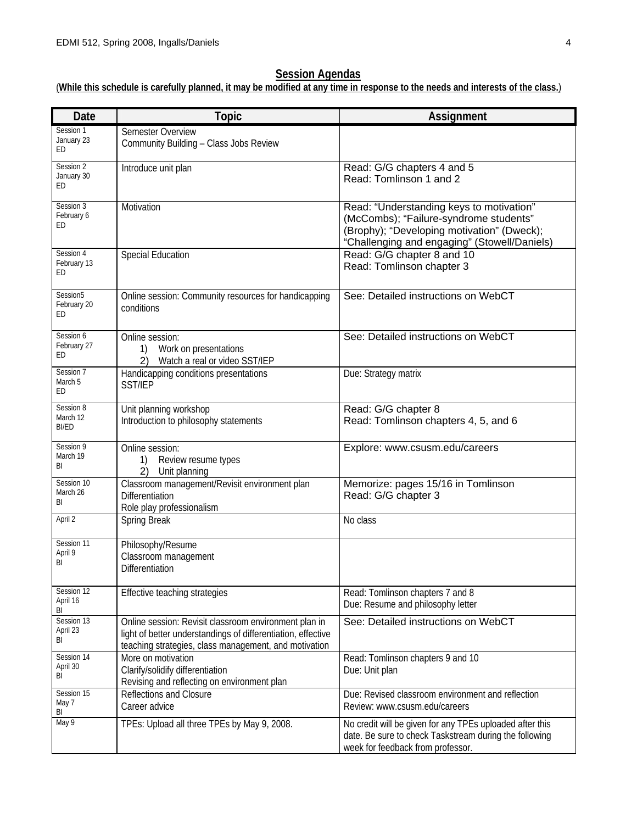# **Session Agendas**

# (**While this schedule is carefully planned, it may be modified at any time in response to the needs and interests of the class.**)

| Date                           | <b>Topic</b>                                                                                                                                                                   | Assignment                                                                                                                                                                       |
|--------------------------------|--------------------------------------------------------------------------------------------------------------------------------------------------------------------------------|----------------------------------------------------------------------------------------------------------------------------------------------------------------------------------|
| Session 1<br>January 23<br>ED  | Semester Overview<br>Community Building - Class Jobs Review                                                                                                                    |                                                                                                                                                                                  |
| Session 2<br>January 30<br>ED  | Introduce unit plan                                                                                                                                                            | Read: G/G chapters 4 and 5<br>Read: Tomlinson 1 and 2                                                                                                                            |
| Session 3<br>February 6<br>ED. | Motivation                                                                                                                                                                     | Read: "Understanding keys to motivation"<br>(McCombs); "Failure-syndrome students"<br>(Brophy); "Developing motivation" (Dweck);<br>"Challenging and engaging" (Stowell/Daniels) |
| Session 4<br>February 13<br>ED | <b>Special Education</b>                                                                                                                                                       | Read: G/G chapter 8 and 10<br>Read: Tomlinson chapter 3                                                                                                                          |
| Session5<br>February 20<br>ED  | Online session: Community resources for handicapping<br>conditions                                                                                                             | See: Detailed instructions on WebCT                                                                                                                                              |
| Session 6<br>February 27<br>ED | Online session:<br>Work on presentations<br>1)<br>Watch a real or video SST/IEP<br>2)                                                                                          | See: Detailed instructions on WebCT                                                                                                                                              |
| Session 7<br>March 5<br>ED     | Handicapping conditions presentations<br>SST/IEP                                                                                                                               | Due: Strategy matrix                                                                                                                                                             |
| Session 8<br>March 12<br>BI/ED | Unit planning workshop<br>Introduction to philosophy statements                                                                                                                | Read: G/G chapter 8<br>Read: Tomlinson chapters 4, 5, and 6                                                                                                                      |
| Session 9<br>March 19<br>BI    | Online session:<br>Review resume types<br>1)<br>2)<br>Unit planning                                                                                                            | Explore: www.csusm.edu/careers                                                                                                                                                   |
| Session 10<br>March 26<br>BI   | Classroom management/Revisit environment plan<br>Differentiation<br>Role play professionalism                                                                                  | Memorize: pages 15/16 in Tomlinson<br>Read: G/G chapter 3                                                                                                                        |
| April 2                        | Spring Break                                                                                                                                                                   | No class                                                                                                                                                                         |
| Session 11<br>April 9<br>BI    | Philosophy/Resume<br>Classroom management<br>Differentiation                                                                                                                   |                                                                                                                                                                                  |
| Session 12<br>April 16<br>BI   | Effective teaching strategies                                                                                                                                                  | Read: Tomlinson chapters 7 and 8<br>Due: Resume and philosophy letter                                                                                                            |
| Session 13<br>April 23<br>BI   | Online session: Revisit classroom environment plan in<br>light of better understandings of differentiation, effective<br>teaching strategies, class management, and motivation | See: Detailed instructions on WebCT                                                                                                                                              |
| Session 14<br>April 30<br>BI   | More on motivation<br>Clarify/solidify differentiation<br>Revising and reflecting on environment plan                                                                          | Read: Tomlinson chapters 9 and 10<br>Due: Unit plan                                                                                                                              |
| Session 15<br>May 7<br>BI      | Reflections and Closure<br>Career advice                                                                                                                                       | Due: Revised classroom environment and reflection<br>Review: www.csusm.edu/careers                                                                                               |
| May 9                          | TPEs: Upload all three TPEs by May 9, 2008.                                                                                                                                    | No credit will be given for any TPEs uploaded after this<br>date. Be sure to check Taskstream during the following<br>week for feedback from professor.                          |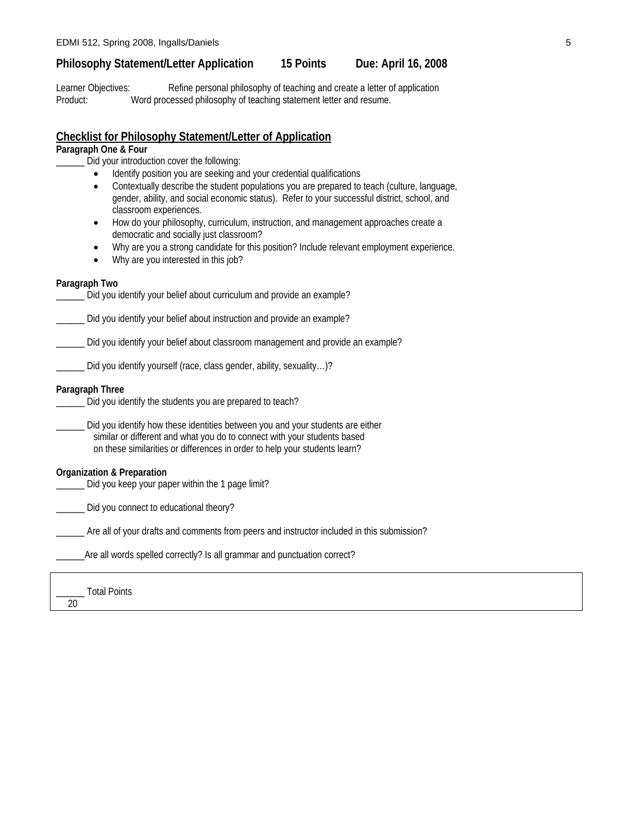# **Philosophy Statement/Letter Application 15 Points Due: April 16, 2008**

Learner Objectives: Refine personal philosophy of teaching and create a letter of application Product: Word processed philosophy of teaching statement letter and resume.

## **Checklist for Philosophy Statement/Letter of Application**

# **Paragraph One & Four**

\_\_\_\_\_\_ Did your introduction cover the following:

- Identify position you are seeking and your credential qualifications
- Contextually describe the student populations you are prepared to teach (culture, language, gender, ability, and social economic status). Refer to your successful district, school, and classroom experiences.
- How do your philosophy, curriculum, instruction, and management approaches create a democratic and socially just classroom?
- Why are you a strong candidate for this position? Include relevant employment experience.
- Why are you interested in this job?

#### **Paragraph Two**

| Did you identify your belief about curriculum and provide an example?                                                                                                                                                                    |
|------------------------------------------------------------------------------------------------------------------------------------------------------------------------------------------------------------------------------------------|
| Did you identify your belief about instruction and provide an example?                                                                                                                                                                   |
| Did you identify your belief about classroom management and provide an example?                                                                                                                                                          |
| Did you identify yourself (race, class gender, ability, sexuality)?                                                                                                                                                                      |
| Paragraph Three<br>Did you identify the students you are prepared to teach?                                                                                                                                                              |
| Did you identify how these identities between you and your students are either<br>similar or different and what you do to connect with your students based<br>on these similarities or differences in order to help your students learn? |
| Organization & Preparation                                                                                                                                                                                                               |

\_\_\_\_\_\_ Did you keep your paper within the 1 page limit?

\_\_\_\_\_\_ Did you connect to educational theory?

\_\_\_\_\_\_ Are all of your drafts and comments from peers and instructor included in this submission?

\_Are all words spelled correctly? Is all grammar and punctuation correct?

\_\_\_\_\_\_ Total Points 20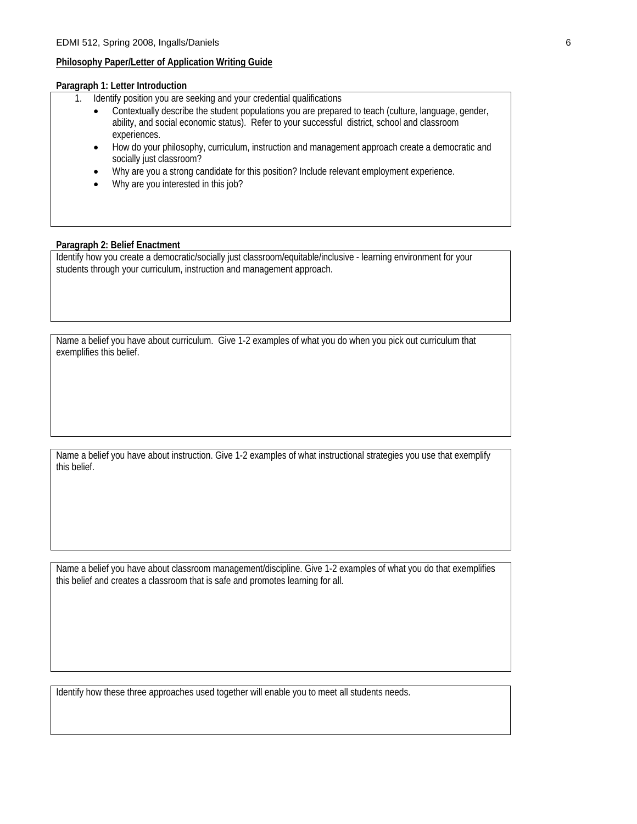#### **Philosophy Paper/Letter of Application Writing Guide**

#### **Paragraph 1: Letter Introduction**

- 1. Identify position you are seeking and your credential qualifications
	- Contextually describe the student populations you are prepared to teach (culture, language, gender, ability, and social economic status). Refer to your successful district, school and classroom experiences.
	- How do your philosophy, curriculum, instruction and management approach create a democratic and socially just classroom?
	- Why are you a strong candidate for this position? Include relevant employment experience.
	- Why are you interested in this job?

#### **Paragraph 2: Belief Enactment**

Identify how you create a democratic/socially just classroom/equitable/inclusive - learning environment for your students through your curriculum, instruction and management approach.

Name a belief you have about curriculum. Give 1-2 examples of what you do when you pick out curriculum that exemplifies this belief.

Name a belief you have about instruction. Give 1-2 examples of what instructional strategies you use that exemplify this belief.

Name a belief you have about classroom management/discipline. Give 1-2 examples of what you do that exemplifies this belief and creates a classroom that is safe and promotes learning for all.

Identify how these three approaches used together will enable you to meet all students needs.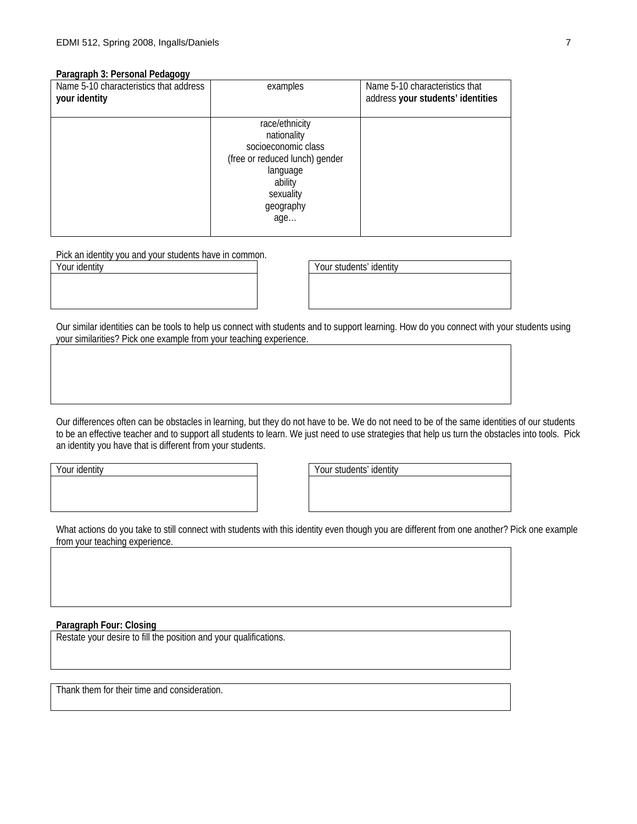#### **Paragraph 3: Personal Pedagogy**

| Name 5-10 characteristics that address<br>your identity | examples                                                                                                                                       | Name 5-10 characteristics that<br>address your students' identities |
|---------------------------------------------------------|------------------------------------------------------------------------------------------------------------------------------------------------|---------------------------------------------------------------------|
|                                                         | race/ethnicity<br>nationality<br>socioeconomic class<br>(free or reduced lunch) gender<br>language<br>ability<br>sexuality<br>geography<br>age |                                                                     |

Pick an identity you and your students have in common.

| Your identity | Your students' identity |
|---------------|-------------------------|
|               |                         |
|               |                         |

Our similar identities can be tools to help us connect with students and to support learning. How do you connect with your students using your similarities? Pick one example from your teaching experience.

Our differences often can be obstacles in learning, but they do not have to be. We do not need to be of the same identities of our students to be an effective teacher and to support all students to learn. We just need to use strategies that help us turn the obstacles into tools. Pick an identity you have that is different from your students.

Your identity Your students' identity

What actions do you take to still connect with students with this identity even though you are different from one another? Pick one example from your teaching experience.

#### **Paragraph Four: Closing**

Restate your desire to fill the position and your qualifications.

Thank them for their time and consideration.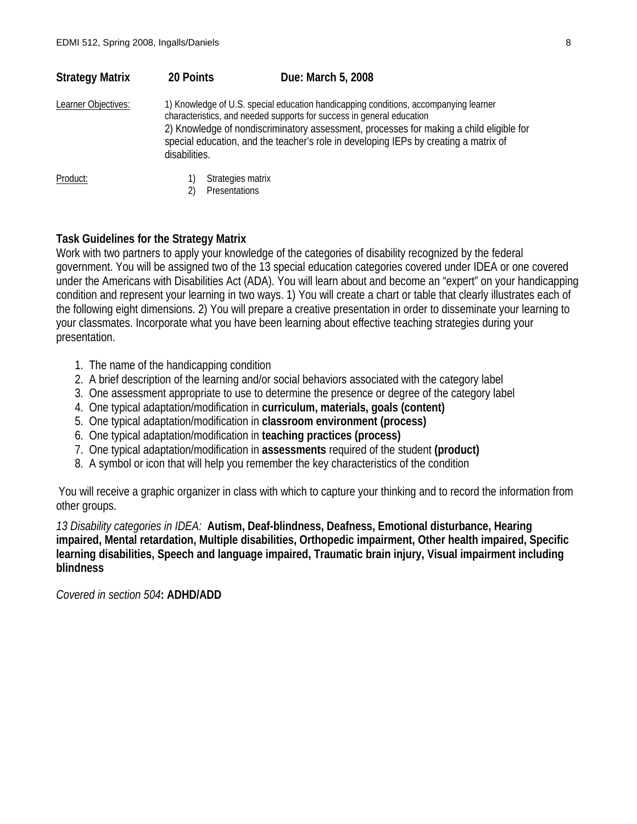| <b>Strategy Matrix</b>                                                                                                                                                                                | 20 Points | Due: March 5, 2008                                                                                                                                                              |
|-------------------------------------------------------------------------------------------------------------------------------------------------------------------------------------------------------|-----------|---------------------------------------------------------------------------------------------------------------------------------------------------------------------------------|
| 1) Knowledge of U.S. special education handicapping conditions, accompanying learner<br>Learner Objectives:<br>characteristics, and needed supports for success in general education<br>disabilities. |           | 2) Knowledge of nondiscriminatory assessment, processes for making a child eligible for<br>special education, and the teacher's role in developing IEPs by creating a matrix of |
| Product:                                                                                                                                                                                              |           | Strategies matrix<br>Presentations                                                                                                                                              |

# **Task Guidelines for the Strategy Matrix**

Work with two partners to apply your knowledge of the categories of disability recognized by the federal government. You will be assigned two of the 13 special education categories covered under IDEA or one covered under the Americans with Disabilities Act (ADA). You will learn about and become an "expert" on your handicapping condition and represent your learning in two ways. 1) You will create a chart or table that clearly illustrates each of the following eight dimensions. 2) You will prepare a creative presentation in order to disseminate your learning to your classmates. Incorporate what you have been learning about effective teaching strategies during your presentation.

- 1. The name of the handicapping condition
- 2. A brief description of the learning and/or social behaviors associated with the category label
- 3. One assessment appropriate to use to determine the presence or degree of the category label
- 4. One typical adaptation/modification in **curriculum, materials, goals (content)**
- 5. One typical adaptation/modification in **classroom environment (process)**
- 6. One typical adaptation/modification in **teaching practices (process)**
- 7. One typical adaptation/modification in **assessments** required of the student **(product)**
- 8. A symbol or icon that will help you remember the key characteristics of the condition

You will receive a graphic organizer in class with which to capture your thinking and to record the information from other groups.

*13 Disability categories in IDEA:* **Autism, Deaf-blindness, Deafness, Emotional disturbance, Hearing impaired, Mental retardation, Multiple disabilities, Orthopedic impairment, Other health impaired, Specific learning disabilities, Speech and language impaired, Traumatic brain injury, Visual impairment including blindness** 

*Covered in section 504***: ADHD/ADD**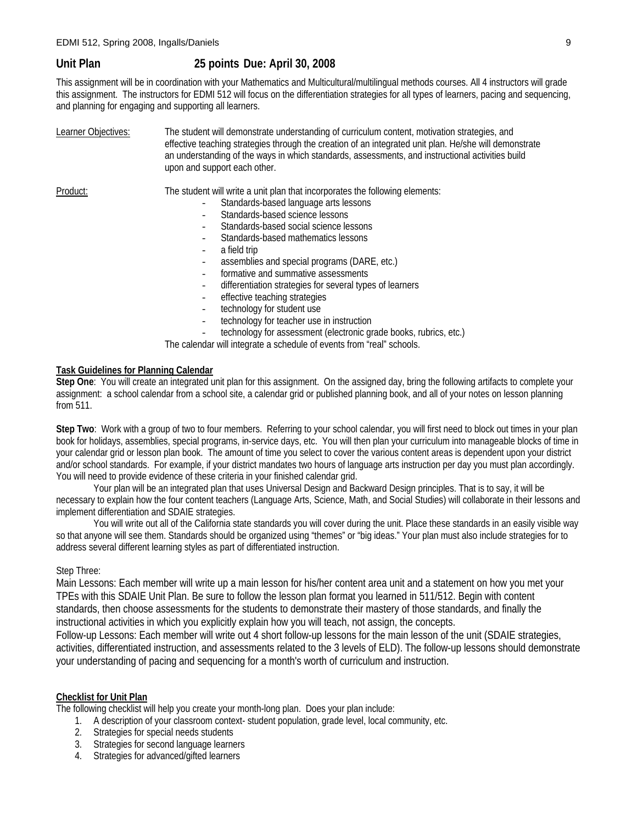# **Unit Plan 25 points Due: April 30, 2008**

This assignment will be in coordination with your Mathematics and Multicultural/multilingual methods courses. All 4 instructors will grade this assignment. The instructors for EDMI 512 will focus on the differentiation strategies for all types of learners, pacing and sequencing, and planning for engaging and supporting all learners.

| Learner Objectives: | The student will demonstrate understanding of curriculum content, motivation strategies, and<br>effective teaching strategies through the creation of an integrated unit plan. He/she will demonstrate<br>an understanding of the ways in which standards, assessments, and instructional activities build<br>upon and support each other.                                                                                               |  |  |
|---------------------|------------------------------------------------------------------------------------------------------------------------------------------------------------------------------------------------------------------------------------------------------------------------------------------------------------------------------------------------------------------------------------------------------------------------------------------|--|--|
| Product:            | The student will write a unit plan that incorporates the following elements:<br>Standards-based language arts lessons<br>Standards-based science lessons<br>Standards-based social science lessons<br>Standards-based mathematics lessons<br>a field trip<br>assemblies and special programs (DARE, etc.)<br>formative and summative assessments<br>differentiation strategies for several types of learners<br>$\overline{\phantom{a}}$ |  |  |
|                     | effective teaching strategies<br>technology for student use<br>$\overline{\phantom{a}}$<br>technology for teacher use in instruction                                                                                                                                                                                                                                                                                                     |  |  |

technology for assessment (electronic grade books, rubrics, etc.)

The calendar will integrate a schedule of events from "real" schools.

### **Task Guidelines for Planning Calendar**

**Step One**: You will create an integrated unit plan for this assignment. On the assigned day, bring the following artifacts to complete your assignment: a school calendar from a school site, a calendar grid or published planning book, and all of your notes on lesson planning from 511.

**Step Two**: Work with a group of two to four members. Referring to your school calendar, you will first need to block out times in your plan book for holidays, assemblies, special programs, in-service days, etc. You will then plan your curriculum into manageable blocks of time in your calendar grid or lesson plan book. The amount of time you select to cover the various content areas is dependent upon your district and/or school standards. For example, if your district mandates two hours of language arts instruction per day you must plan accordingly. You will need to provide evidence of these criteria in your finished calendar grid.

 Your plan will be an integrated plan that uses Universal Design and Backward Design principles. That is to say, it will be necessary to explain how the four content teachers (Language Arts, Science, Math, and Social Studies) will collaborate in their lessons and implement differentiation and SDAIE strategies.

 You will write out all of the California state standards you will cover during the unit. Place these standards in an easily visible way so that anyone will see them. Standards should be organized using "themes" or "big ideas." Your plan must also include strategies for to address several different learning styles as part of differentiated instruction.

### Step Three:

Main Lessons: Each member will write up a main lesson for his/her content area unit and a statement on how you met your TPEs with this SDAIE Unit Plan. Be sure to follow the lesson plan format you learned in 511/512. Begin with content standards, then choose assessments for the students to demonstrate their mastery of those standards, and finally the instructional activities in which you explicitly explain how you will teach, not assign, the concepts.

Follow-up Lessons: Each member will write out 4 short follow-up lessons for the main lesson of the unit (SDAIE strategies, activities, differentiated instruction, and assessments related to the 3 levels of ELD). The follow-up lessons should demonstrate your understanding of pacing and sequencing for a month's worth of curriculum and instruction.

### **Checklist for Unit Plan**

The following checklist will help you create your month-long plan. Does your plan include:

- 1. A description of your classroom context- student population, grade level, local community, etc.
- 2. Strategies for special needs students
- 3. Strategies for second language learners
- 4. Strategies for advanced/gifted learners